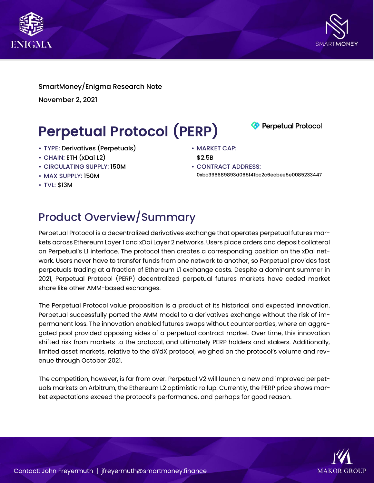



SmartMoney/Enigma Research Note November 2, 2021

# Perpetual Protocol (PERP)

- TYPE: Derivatives (Perpetuals)
- CHAIN: ETH (xDai L2)
- CIRCULATING SUPPLY: 150M
- MAX SUPPLY: 150M
- TVL: \$13M

\$2.5B • CONTRACT ADDRESS:

• MARKET CAP:

0xbc396689893d065f41bc2c6ecbee5e0085233447

**Perpetual Protocol** 

## Product Overview/Summary

Perpetual Protocol is a decentralized derivatives exchange that operates perpetual futures markets across Ethereum Layer 1 and xDai Layer 2 networks. Users place orders and deposit collateral on Perpetual's L1 interface. The protocol then creates a corresponding position on the xDai network. Users never have to transfer funds from one network to another, so Perpetual provides fast perpetuals trading at a fraction of Ethereum L1 exchange costs. Despite a dominant summer in 2021, Perpetual Protocol (PERP) decentralized perpetual futures markets have ceded market share like other AMM-based exchanges.

The Perpetual Protocol value proposition is a product of its historical and expected innovation. Perpetual successfully ported the AMM model to a derivatives exchange without the risk of impermanent loss. The innovation enabled futures swaps without counterparties, where an aggregated pool provided opposing sides of a perpetual contract market. Over time, this innovation shifted risk from markets to the protocol, and ultimately PERP holders and stakers. Additionally, limited asset markets, relative to the dYdX protocol, weighed on the protocol's volume and revenue through October 2021.

The competition, however, is far from over. Perpetual V2 will launch a new and improved perpetuals markets on Arbitrum, the Ethereum L2 optimistic rollup. Currently, the PERP price shows market expectations exceed the protocol's performance, and perhaps for good reason.

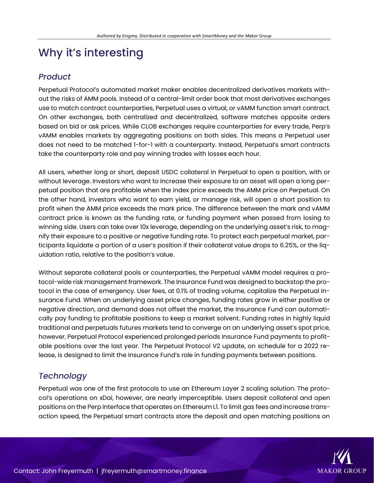### Why it's interesting

#### *Product*

Perpetual Protocol's automated market maker enables decentralized derivatives markets without the risks of AMM pools. Instead of a central-limit order book that most derivatives exchanges use to match contract counterparties, Perpetual uses a virtual, or vAMM function smart contract. On other exchanges, both centralized and decentralized, software matches opposite orders based on bid or ask prices. While CLOB exchanges require counterparties for every trade, Perp's vAMM enables markets by aggregating positions on both sides. This means a Perpetual user does not need to be matched 1-for-1 with a counterparty. Instead, Perpetual's smart contracts take the counterparty role and pay winning trades with losses each hour.

All users, whether long or short, deposit USDC collateral in Perpetual to open a position, with or without leverage. Investors who want to increase their exposure to an asset will open a long perpetual position that are profitable when the index price exceeds the AMM price on Perpetual. On the other hand, investors who want to earn yield, or manage risk, will open a short position to profit when the AMM price exceeds the mark price. The difference between the mark and vAMM contract price is known as the funding rate, or funding payment when passed from losing to winning side. Users can take over 10x leverage, depending on the underlying asset's risk, to magnify their exposure to a positive or negative funding rate. To protect each perpetual market, participants liquidate a portion of a user's position if their collateral value drops to 6.25%, or the liquidation ratio, relative to the position's value.

Without separate collateral pools or counterparties, the Perpetual vAMM model requires a protocol-wide risk management framework. The Insurance Fund was designed to backstop the protocol in the case of emergency. User fees, at 0.1% of trading volume, capitalize the Perpetual Insurance Fund. When an underlying asset price changes, funding rates grow in either positive or negative direction, and demand does not offset the market, the Insurance Fund can automatically pay funding to profitable positions to keep a market solvent. Funding rates in highly liquid traditional and perpetuals futures markets tend to converge on an underlying asset's spot price, however, Perpetual Protocol experienced prolonged periods Insurance Fund payments to profitable positions over the last year. The Perpetual Protocol V2 update, on schedule for a 2022 release, is designed to limit the Insurance Fund's role in funding payments between positions.

### *Technology*

Perpetual was one of the first protocols to use an Ethereum Layer 2 scaling solution. The protocol's operations on xDai, however, are nearly imperceptible. Users deposit collateral and open positions on the Perp interface that operates on Ethereum L1. To limit gas fees and increase transaction speed, the Perpetual smart contracts store the deposit and open matching positions on

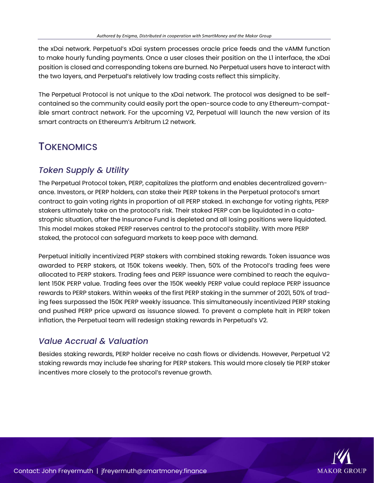the xDai network. Perpetual's xDai system processes oracle price feeds and the vAMM function to make hourly funding payments. Once a user closes their position on the L1 interface, the xDai position is closed and corresponding tokens are burned. No Perpetual users have to interact with the two layers, and Perpetual's relatively low trading costs reflect this simplicity.

The Perpetual Protocol is not unique to the xDai network. The protocol was designed to be selfcontained so the community could easily port the open-source code to any Ethereum-compatible smart contract network. For the upcoming V2, Perpetual will launch the new version of its smart contracts on Ethereum's Arbitrum L2 network.

### **TOKENOMICS**

#### *Token Supply & Utility*

The Perpetual Protocol token, PERP, capitalizes the platform and enables decentralized governance. Investors, or PERP holders, can stake their PERP tokens in the Perpetual protocol's smart contract to gain voting rights in proportion of all PERP staked. In exchange for voting rights, PERP stakers ultimately take on the protocol's risk. Their staked PERP can be liquidated in a catastrophic situation, after the Insurance Fund is depleted and all losing positions were liquidated. This model makes staked PERP reserves central to the protocol's stability. With more PERP staked, the protocol can safeguard markets to keep pace with demand.

Perpetual initially incentivized PERP stakers with combined staking rewards. Token issuance was awarded to PERP stakers, at 150K tokens weekly. Then, 50% of the Protocol's trading fees were allocated to PERP stakers. Trading fees and PERP issuance were combined to reach the equivalent 150K PERP value. Trading fees over the 150K weekly PERP value could replace PERP issuance rewards to PERP stakers. Within weeks of the first PERP staking in the summer of 2021, 50% of trading fees surpassed the 150K PERP weekly issuance. This simultaneously incentivized PERP staking and pushed PERP price upward as issuance slowed. To prevent a complete halt in PERP token inflation, the Perpetual team will redesign staking rewards in Perpetual's V2.

#### *Value Accrual & Valuation*

Besides staking rewards, PERP holder receive no cash flows or dividends. However, Perpetual V2 staking rewards may include fee sharing for PERP stakers. This would more closely tie PERP staker incentives more closely to the protocol's revenue growth.

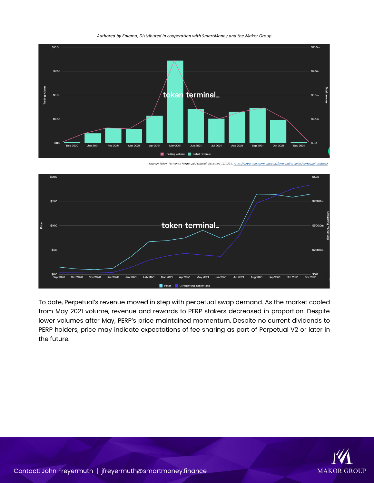



Source: Token Terminal: Perpetual Protocol. Accessed 11/2/21. https://www.tokenterminal.com/terminal/pi ects/perpetual-protoco



To date, Perpetual's revenue moved in step with perpetual swap demand. As the market cooled from May 2021 volume, revenue and rewards to PERP stakers decreased in proportion. Despite lower volumes after May, PERP's price maintained momentum. Despite no current dividends to PERP holders, price may indicate expectations of fee sharing as part of Perpetual V2 or later in the future.

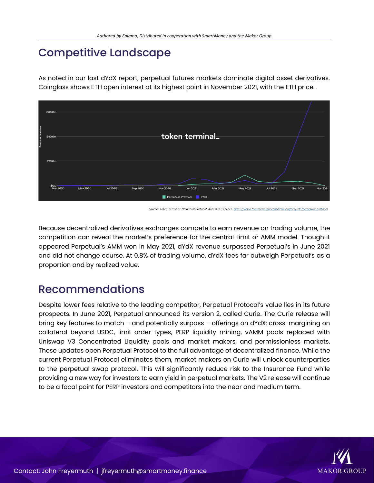### Competitive Landscape

As noted in our last dYdX report, perpetual futures markets dominate digital asset derivatives. Coinglass shows ETH open interest at its highest point in November 2021, with the ETH price. .



rpetual Protocol. Accessed 11/2/21. <u>https://www.to.</u>

Because decentralized derivatives exchanges compete to earn revenue on trading volume, the competition can reveal the market's preference for the central-limit or AMM model. Though it appeared Perpetual's AMM won in May 2021, dYdX revenue surpassed Perpetual's in June 2021 and did not change course. At 0.8% of trading volume, dYdX fees far outweigh Perpetual's as a proportion and by realized value.

### Recommendations

Despite lower fees relative to the leading competitor, Perpetual Protocol's value lies in its future prospects. In June 2021, Perpetual announced its version 2, called Curie. The Curie release will bring key features to match – and potentially surpass – offerings on dYdX: cross-margining on collateral beyond USDC, limit order types, PERP liquidity mining, vAMM pools replaced with Uniswap V3 Concentrated Liquidity pools and market makers, and permissionless markets. These updates open Perpetual Protocol to the full advantage of decentralized finance. While the current Perpetual Protocol eliminates them, market makers on Curie will unlock counterparties to the perpetual swap protocol. This will significantly reduce risk to the Insurance Fund while providing a new way for investors to earn yield in perpetual markets. The V2 release will continue to be a focal point for PERP investors and competitors into the near and medium term.